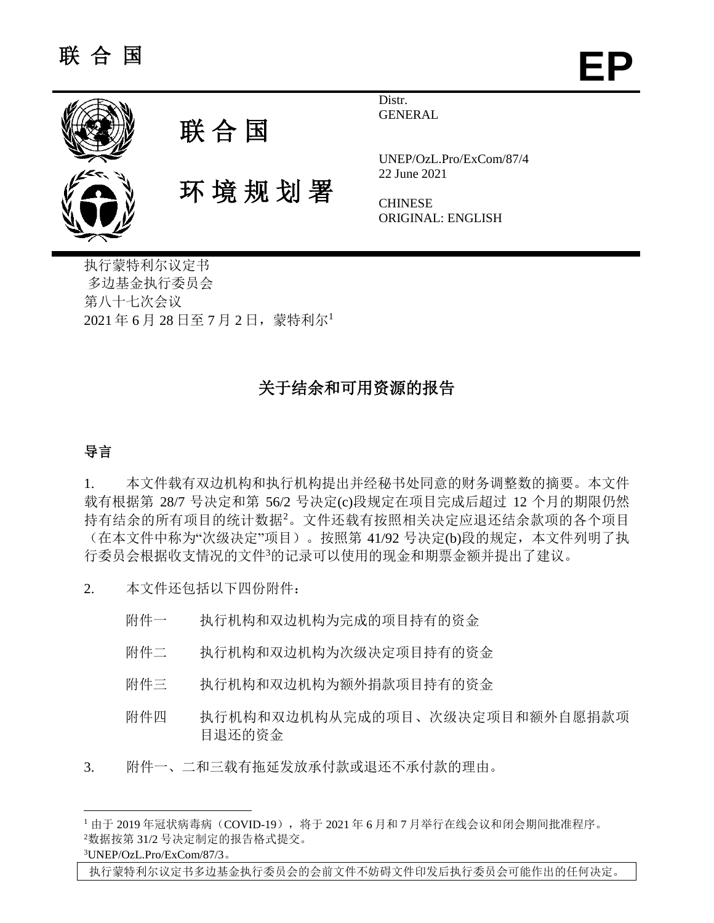



环 境 规 划 署

Distr. **GENERAL** 

UNEP/OzL.Pro/ExCom/87/4 22 June 2021

**CHINESE** ORIGINAL: ENGLISH

执行蒙特利尔议定书 多边基金执行委员会 第八十七次会议 2021 年 6 月 28 日至 7 月 2 日,蒙特利尔<sup>1</sup>

# 关于结余和可用资源的报告

## 导言

1. 本文件载有双边机构和执行机构提出并经秘书处同意的财务调整数的摘要。本文件 载有根据第 28/7 号决定和第 56/2 号决定(c)段规定在项目完成后超过 12 个月的期限仍然 持有结余的所有项目的统计数据<sup>2</sup>。文件还载有按照相关决定应退还结余款项的各个项目 (在本文件中称为"次级决定"项目)。按照第 41/92 号决定(b)段的规定,本文件列明了执 行委员会根据收支情况的文件<sup>3</sup>的记录可以使用的现金和期票金额并提出了建议。

2. 本文件还包括以下四份附件:

- 附件一 执行机构和双边机构为完成的项目持有的资金
- 附件二 执行机构和双边机构为次级决定项目持有的资金
- 附件三 执行机构和双边机构为额外捐款项目持有的资金
- 附件四 执行机构和双边机构从完成的项目、次级决定项目和额外自愿捐款项 目退还的资金
- 3. 附件一、二和三载有拖延发放承付款或退还不承付款的理由。

3UNEP/OzL.Pro/ExCom/87/3。

l

执行蒙特利尔议定书多边基金执行委员会的会前文件不妨碍文件印发后执行委员会可能作出的任何决定。

<sup>1</sup>由于 2019年冠状病毒病(COVID-19),将于 2021 年 6 月和 7 月举行在线会议和闭会期间批准程序。 <sup>2</sup>数据按第 31/2 号决定制定的报告格式提交。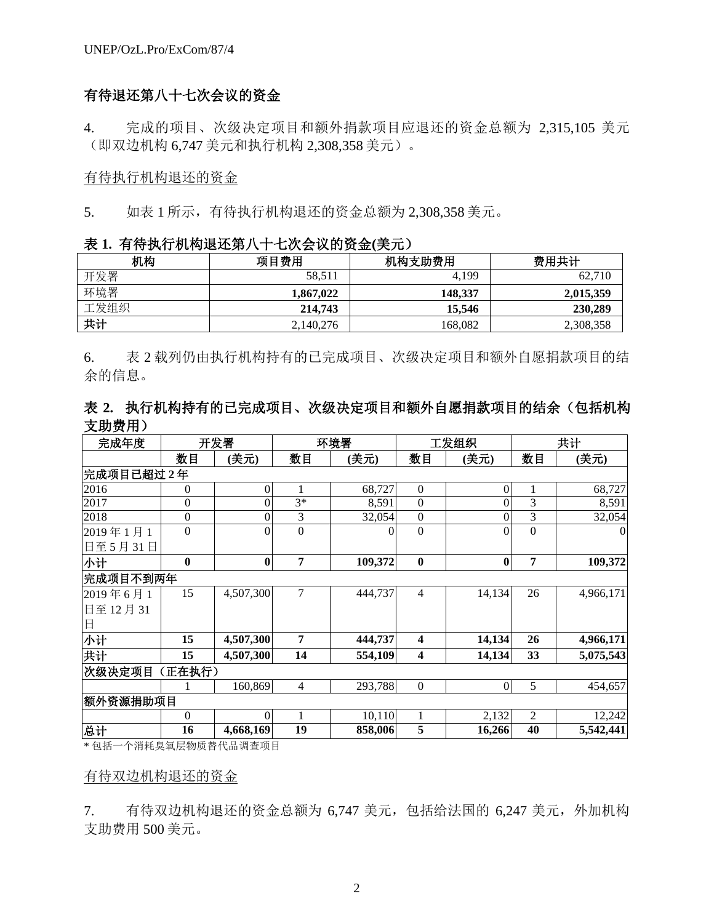## 有待退还第八十七次会议的资金

4. 完成的项目、次级决定项目和额外捐款项目应退还的资金总额为 2,315,105 美元 (即双边机构 6,747 美元和执行机构 2,308,358 美元)。

#### 有待执行机构退还的资金

5. 如表 1 所示,有待执行机构退还的资金总额为 2,308,358 美元。

| 表 1. 有待执行机构退还第八十七次会议的资金(美元) |
|-----------------------------|
|-----------------------------|

| 机构   | 项目费用      | 机构支助费用  | 费用共计      |
|------|-----------|---------|-----------|
| 开发署  | 58.511    | 4,199   | 62.710    |
| 环境署  | 1,867,022 | 148.337 | 2,015,359 |
| 工发组织 | 214,743   | 15.546  | 230,289   |
| 共计   | 2,140,276 | 168.082 | 2,308,358 |

6. 表 2 载列仍由执行机构持有的已完成项目、次级决定项目和额外自愿捐款项目的结 余的信息。

## 表 **2.** 执行机构持有的已完成项目、次级决定项目和额外自愿捐款项目的结余(包括机构 支助费用)

| 完成年度       |                  | 开发署                                           |                  | 环境署      |                  | 工发组织             |                | 共计        |
|------------|------------------|-----------------------------------------------|------------------|----------|------------------|------------------|----------------|-----------|
|            | 数目               | (美元)                                          | 数目               | (美元)     | 数目               | (美元)             | 数目             | (美元)      |
| 完成项目已超过2年  |                  |                                               |                  |          |                  |                  |                |           |
| 2016       | $\mathbf{0}$     | 0                                             |                  | 68,727   | $\boldsymbol{0}$ | 0                | 1              | 68,727    |
| 2017       | $\boldsymbol{0}$ |                                               | $3*$             | 8,591    | $\mathbf{0}$     | 0                | 3              | 8,591     |
| 2018       | $\boldsymbol{0}$ | 0                                             | 3                | 32,054   | $\boldsymbol{0}$ | 0                | 3              | 32,054    |
| 2019年1月1   | $\boldsymbol{0}$ | 0                                             | $\boldsymbol{0}$ | $\Omega$ | $\boldsymbol{0}$ | $\theta$         | $\mathbf{0}$   | $\Omega$  |
| 日至 5月 31日  |                  |                                               |                  |          |                  |                  |                |           |
| 小计         | $\bf{0}$         | $\boldsymbol{0}$                              | 7                | 109,372  | $\bf{0}$         | $\bf{0}$         | 7              | 109,372   |
| 完成项目不到两年   |                  |                                               |                  |          |                  |                  |                |           |
| 2019年6月1   | 15               | 4,507,300                                     | 7                | 444,737  | $\overline{4}$   | 14,134           | 26             | 4,966,171 |
| 日至12月31    |                  |                                               |                  |          |                  |                  |                |           |
| 日          |                  |                                               |                  |          |                  |                  |                |           |
| 小计         | 15               | 4,507,300                                     | 7                | 444,737  | 4                | 14,134           | 26             | 4,966,171 |
| 共计         | 15               | 4,507,300                                     | 14               | 554,109  | 4                | 14,134           | 33             | 5,075,543 |
| 次级决定项目     | (正在执行)           |                                               |                  |          |                  |                  |                |           |
|            |                  | 160,869                                       | $\overline{4}$   | 293,788  | $\mathbf{0}$     | $\boldsymbol{0}$ | 5              | 454,657   |
| 额外资源捐助项目   |                  |                                               |                  |          |                  |                  |                |           |
|            | $\mathbf{0}$     | 0                                             |                  | 10,110   | 1                | 2,132            | $\overline{2}$ | 12,242    |
| 总计<br>$-1$ | 16               | 4,668,169<br>A WAR A A CULU CALL TO DIRECT OF | 19               | 858,006  | 5                | 16,266           | 40             | 5,542,441 |

\* 包括一个消耗臭氧层物质替代品调查项目

#### 有待双边机构退还的资金

7. 有待双边机构退还的资金总额为 6,747 美元,包括给法国的 6,247 美元,外加机构 支助费用 500 美元。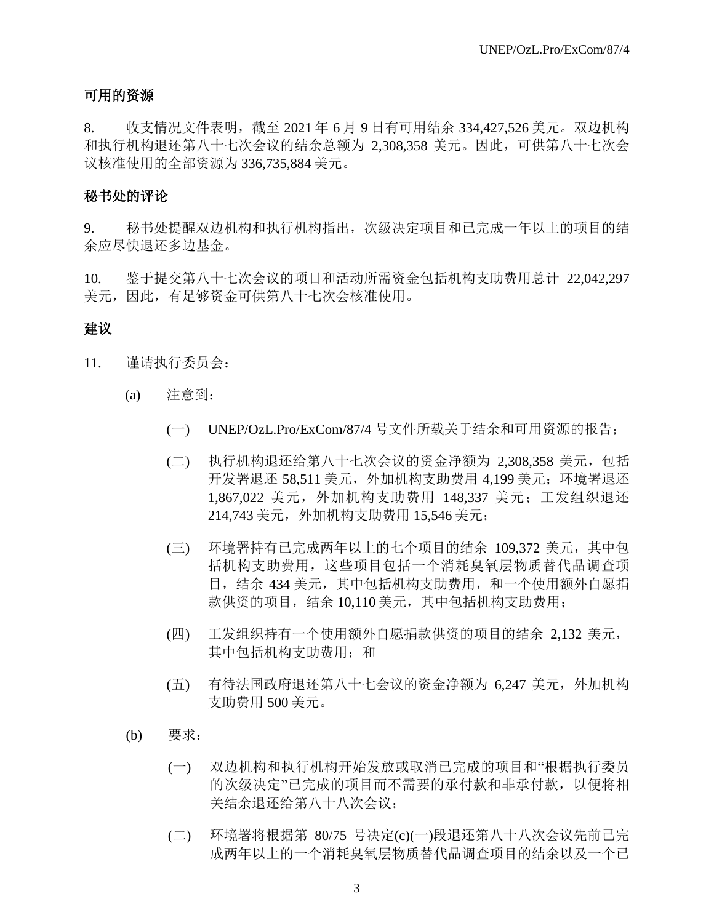## 可用的资源

8. 收支情况文件表明,截至 2021 年 6 月 9 日有可用结余 334,427,526 美元。双边机构 和执行机构退还第八十七次会议的结余总额为 2,308,358 美元。因此,可供第八十七次会 议核准使用的全部资源为 336,735,884 美元。

### 秘书处的评论

9. 秘书处提醒双边机构和执行机构指出,次级决定项目和已完成一年以上的项目的结 余应尽快退还多边基金。

10. 鉴于提交第八十七次会议的项目和活动所需资金包括机构支助费用总计 22,042,297 美元,因此,有足够资金可供第八十七次会核准使用。

## 建议

- 11. 谨请执行委员会:
	- (a) 注意到:
		- (一) UNEP/OzL.Pro/ExCom/87/4 号文件所载关于结余和可用资源的报告;
		- (二) 执行机构退还给第八十七次会议的资金净额为 2,308,358 美元,包括 开发署退还 58,511 美元,外加机构支助费用 4,199 美元;环境署退还 1,867,022 美元,外加机构支助费用 148,337 美元;工发组织退还 214,743 美元,外加机构支助费用 15,546 美元;
		- (三) 环境署持有已完成两年以上的七个项目的结余 109,372 美元,其中包 括机构支助费用,这些项目包括一个消耗臭氧层物质替代品调查项 目,结余 434 美元,其中包括机构支助费用,和一个使用额外自愿捐 款供资的项目,结余 10,110 美元,其中包括机构支助费用;
		- (四) 工发组织持有一个使用额外自愿捐款供资的项目的结余 2,132 美元, 其中包括机构支助费用;和
		- (五) 有待法国政府退还第八十七会议的资金净额为 6,247 美元,外加机构 支助费用 500 美元。
	- (b) 要求:
		- (一) 双边机构和执行机构开始发放或取消已完成的项目和"根据执行委员 的次级决定"已完成的项目而不需要的承付款和非承付款,以便将相 关结余退还给第八十八次会议;
		- (二) 环境署将根据第 80/75 号决定(c)(一)段退还第八十八次会议先前已完 成两年以上的一个消耗臭氧层物质替代品调查项目的结余以及一个已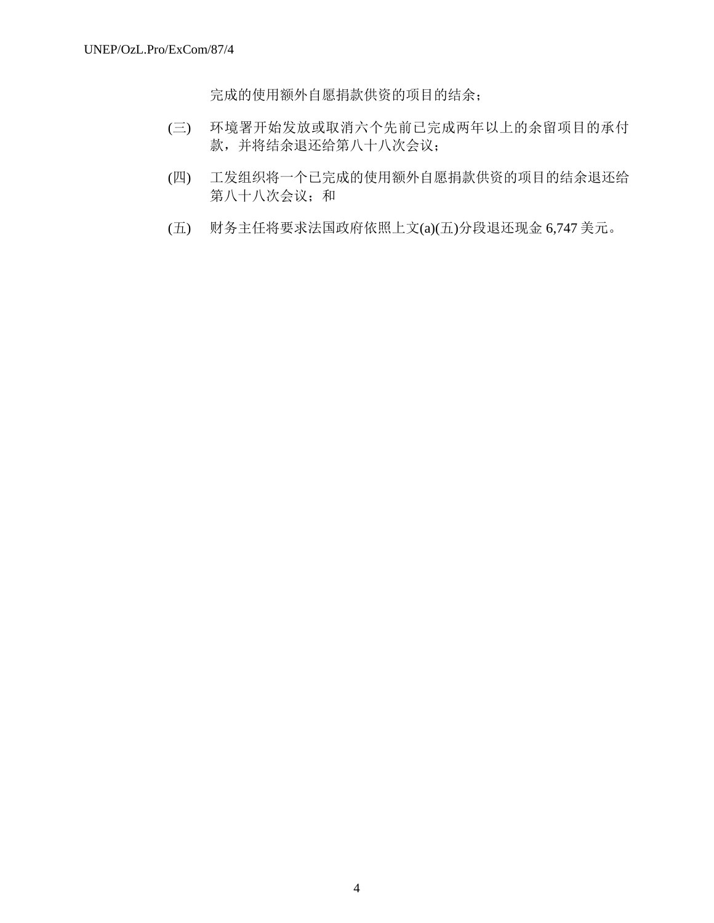完成的使用额外自愿捐款供资的项目的结余;

- (三) 环境署开始发放或取消六个先前已完成两年以上的余留项目的承付 款,并将结余退还给第八十八次会议;
- (四) 工发组织将一个已完成的使用额外自愿捐款供资的项目的结余退还给 第八十八次会议;和
- (五) 财务主任将要求法国政府依照上文(a)(五)分段退还现金 6,747 美元。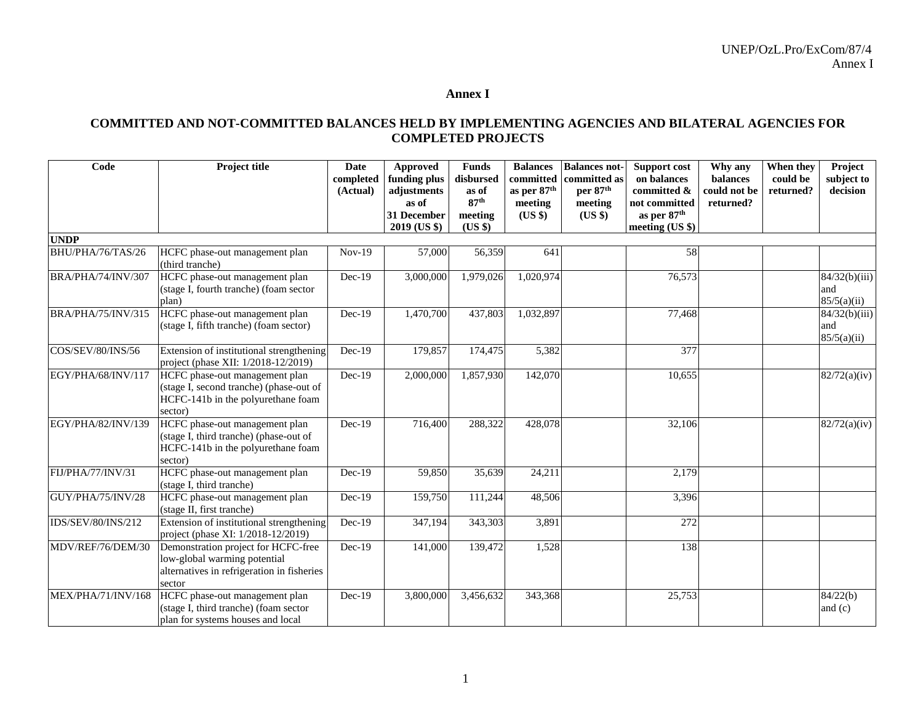#### **Annex I**

### **COMMITTED AND NOT-COMMITTED BALANCES HELD BY IMPLEMENTING AGENCIES AND BILATERAL AGENCIES FOR COMPLETED PROJECTS**

| Code               | Project title                                                                                                               | <b>Date</b><br>completed<br>(Actual) | Approved<br>funding plus<br>adjustments<br>as of<br>31 December | <b>Funds</b><br>disbursed<br>as of<br>87 <sup>th</sup><br>meeting | <b>Balances</b><br>committed<br>as per 87 <sup>th</sup><br>meeting<br>(US \$) | <b>Balances not-</b><br>committed as<br>per 87th<br>meeting<br>$(US \$ | Support cost<br>on balances<br>committed &<br>not committed<br>as per 87 <sup>th</sup> | Why any<br>balances<br>could not be<br>returned? | When they<br>could be<br>returned? | Project<br>subject to<br>decision             |
|--------------------|-----------------------------------------------------------------------------------------------------------------------------|--------------------------------------|-----------------------------------------------------------------|-------------------------------------------------------------------|-------------------------------------------------------------------------------|------------------------------------------------------------------------|----------------------------------------------------------------------------------------|--------------------------------------------------|------------------------------------|-----------------------------------------------|
|                    |                                                                                                                             |                                      | 2019 (US \$)                                                    | (US \$)                                                           |                                                                               |                                                                        | meeting (US \$)                                                                        |                                                  |                                    |                                               |
| <b>UNDP</b>        |                                                                                                                             |                                      |                                                                 |                                                                   |                                                                               |                                                                        |                                                                                        |                                                  |                                    |                                               |
| BHU/PHA/76/TAS/26  | HCFC phase-out management plan<br>(third tranche)                                                                           | $Nov-19$                             | 57,000                                                          | 56,359                                                            | 641                                                                           |                                                                        | 58                                                                                     |                                                  |                                    |                                               |
| BRA/PHA/74/INV/307 | HCFC phase-out management plan<br>(stage I, fourth tranche) (foam sector<br>plan)                                           | Dec-19                               | 3,000,000                                                       | 1,979,026                                                         | 1,020,974                                                                     |                                                                        | 76,573                                                                                 |                                                  |                                    | $\sqrt{84/32(b)}$ (iii)<br>and<br>85/5(a)(ii) |
| BRA/PHA/75/INV/315 | HCFC phase-out management plan<br>(stage I, fifth tranche) (foam sector)                                                    | $Dec-19$                             | 1,470,700                                                       | 437,803                                                           | 1,032,897                                                                     |                                                                        | 77,468                                                                                 |                                                  |                                    | 84/32(b)(iii)<br>and<br>85/5(a)(ii)           |
| COS/SEV/80/INS/56  | Extension of institutional strengthening<br>project (phase XII: 1/2018-12/2019)                                             | $Dec-19$                             | 179,857                                                         | 174,475                                                           | 5,382                                                                         |                                                                        | 377                                                                                    |                                                  |                                    |                                               |
| EGY/PHA/68/INV/117 | HCFC phase-out management plan<br>(stage I, second tranche) (phase-out of<br>HCFC-141b in the polyurethane foam<br>sector)  | $Dec-19$                             | 2,000,000                                                       | 1,857,930                                                         | 142,070                                                                       |                                                                        | 10,655                                                                                 |                                                  |                                    | 82/72(a)(iv)                                  |
| EGY/PHA/82/INV/139 | HCFC phase-out management plan<br>(stage I, third tranche) (phase-out of<br>HCFC-141b in the polyurethane foam<br>sector)   | $Dec-19$                             | 716,400                                                         | 288,322                                                           | 428,078                                                                       |                                                                        | 32,106                                                                                 |                                                  |                                    | 82/72(a)(iv)                                  |
| FIJ/PHA/77/INV/31  | HCFC phase-out management plan<br>(stage I, third tranche)                                                                  | $Dec-19$                             | 59,850                                                          | 35,639                                                            | 24,211                                                                        |                                                                        | 2,179                                                                                  |                                                  |                                    |                                               |
| GUY/PHA/75/INV/28  | HCFC phase-out management plan<br>(stage II, first tranche)                                                                 | Dec-19                               | 159,750                                                         | 111,244                                                           | 48,506                                                                        |                                                                        | 3,396                                                                                  |                                                  |                                    |                                               |
| IDS/SEV/80/INS/212 | Extension of institutional strengthening<br>project (phase XI: 1/2018-12/2019)                                              | Dec-19                               | 347,194                                                         | 343,303                                                           | 3,891                                                                         |                                                                        | 272                                                                                    |                                                  |                                    |                                               |
| MDV/REF/76/DEM/30  | Demonstration project for HCFC-free<br>low-global warming potential<br>alternatives in refrigeration in fisheries<br>sector | $Dec-19$                             | 141,000                                                         | 139,472                                                           | 1,528                                                                         |                                                                        | 138                                                                                    |                                                  |                                    |                                               |
| MEX/PHA/71/INV/168 | HCFC phase-out management plan<br>(stage I, third tranche) (foam sector<br>plan for systems houses and local                | Dec-19                               | 3,800,000                                                       | 3,456,632                                                         | 343,368                                                                       |                                                                        | 25,753                                                                                 |                                                  |                                    | 84/22(b)<br>and $(c)$                         |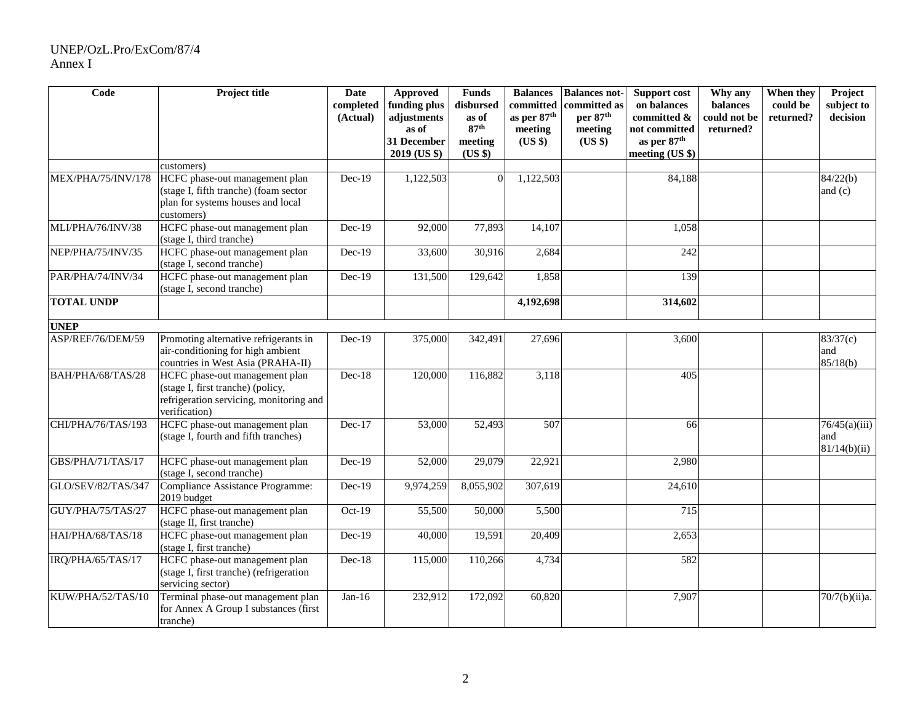## UNEP/OzL.Pro/ExCom/87/4 Annex I

| Code               | Project title                                                                                                                   | <b>Date</b><br>completed<br>(Actual) | Approved<br>funding plus<br>adjustments | <b>Funds</b><br>disbursed<br>as of     | <b>Balances</b><br>committed<br>as per 87th | <b>Balances not-</b><br>committed as<br>per 87 <sup>th</sup> | <b>Support cost</b><br>on balances<br>committed &           | Why any<br>balances<br>could not be | When they<br>could be<br>returned? | Project<br>subject to<br>decision    |
|--------------------|---------------------------------------------------------------------------------------------------------------------------------|--------------------------------------|-----------------------------------------|----------------------------------------|---------------------------------------------|--------------------------------------------------------------|-------------------------------------------------------------|-------------------------------------|------------------------------------|--------------------------------------|
|                    |                                                                                                                                 |                                      | as of<br>31 December<br>2019 (US \$)    | 87 <sup>th</sup><br>meeting<br>(US \$) | meeting<br>(US \$)                          | meeting<br>(US \$)                                           | not committed<br>as per 87 <sup>th</sup><br>meeting (US \$) | returned?                           |                                    |                                      |
|                    | customers)                                                                                                                      |                                      |                                         |                                        |                                             |                                                              |                                                             |                                     |                                    |                                      |
| MEX/PHA/75/INV/178 | HCFC phase-out management plan<br>(stage I, fifth tranche) (foam sector<br>plan for systems houses and local<br>customers)      | $Dec-19$                             | 1,122,503                               | $\Omega$                               | 1,122,503                                   |                                                              | 84,188                                                      |                                     |                                    | 84/22(b)<br>and $(c)$                |
| MLI/PHA/76/INV/38  | HCFC phase-out management plan<br>(stage I, third tranche)                                                                      | $Dec-19$                             | 92,000                                  | 77,893                                 | 14,107                                      |                                                              | 1,058                                                       |                                     |                                    |                                      |
| NEP/PHA/75/INV/35  | HCFC phase-out management plan<br>(stage I, second tranche)                                                                     | $Dec-19$                             | 33,600                                  | 30,916                                 | 2,684                                       |                                                              | $\overline{242}$                                            |                                     |                                    |                                      |
| PAR/PHA/74/INV/34  | HCFC phase-out management plan<br>(stage I, second tranche)                                                                     | $Dec-19$                             | 131,500                                 | 129,642                                | 1,858                                       |                                                              | 139                                                         |                                     |                                    |                                      |
| <b>TOTAL UNDP</b>  |                                                                                                                                 |                                      |                                         |                                        | 4,192,698                                   |                                                              | 314,602                                                     |                                     |                                    |                                      |
| <b>UNEP</b>        |                                                                                                                                 |                                      |                                         |                                        |                                             |                                                              |                                                             |                                     |                                    |                                      |
| ASP/REF/76/DEM/59  | Promoting alternative refrigerants in<br>air-conditioning for high ambient<br>countries in West Asia (PRAHA-II)                 | $Dec-19$                             | 375,000                                 | 342,491                                | 27,696                                      |                                                              | 3,600                                                       |                                     |                                    | 83/37(c)<br>and<br>85/18(b)          |
| BAH/PHA/68/TAS/28  | HCFC phase-out management plan<br>(stage I, first tranche) (policy,<br>refrigeration servicing, monitoring and<br>verification) | $Dec-18$                             | 120,000                                 | 116,882                                | 3,118                                       |                                                              | 405                                                         |                                     |                                    |                                      |
| CHI/PHA/76/TAS/193 | HCFC phase-out management plan<br>(stage I, fourth and fifth tranches)                                                          | Dec-17                               | 53,000                                  | 52,493                                 | 507                                         |                                                              | 66                                                          |                                     |                                    | 76/45(a)(iii)<br>and<br>81/14(b)(ii) |
| GBS/PHA/71/TAS/17  | HCFC phase-out management plan<br>(stage I, second tranche)                                                                     | $Dec-19$                             | 52,000                                  | 29,079                                 | 22,921                                      |                                                              | 2,980                                                       |                                     |                                    |                                      |
| GLO/SEV/82/TAS/347 | Compliance Assistance Programme:<br>2019 budget                                                                                 | Dec-19                               | 9,974,259                               | 8,055,902                              | 307,619                                     |                                                              | 24,610                                                      |                                     |                                    |                                      |
| GUY/PHA/75/TAS/27  | HCFC phase-out management plan<br>(stage II, first tranche)                                                                     | Oct-19                               | 55,500                                  | 50,000                                 | 5,500                                       |                                                              | $\overline{715}$                                            |                                     |                                    |                                      |
| HAI/PHA/68/TAS/18  | HCFC phase-out management plan<br>(stage I, first tranche)                                                                      | $Dec-19$                             | 40,000                                  | 19,591                                 | 20,409                                      |                                                              | 2,653                                                       |                                     |                                    |                                      |
| IRQ/PHA/65/TAS/17  | HCFC phase-out management plan<br>(stage I, first tranche) (refrigeration<br>servicing sector)                                  | $Dec-18$                             | 115,000                                 | 110,266                                | 4,734                                       |                                                              | 582                                                         |                                     |                                    |                                      |
| KUW/PHA/52/TAS/10  | Terminal phase-out management plan<br>for Annex A Group I substances (first<br>tranche)                                         | $Jan-16$                             | 232,912                                 | 172,092                                | 60,820                                      |                                                              | 7,907                                                       |                                     |                                    | 70/7(b)(ii)a.                        |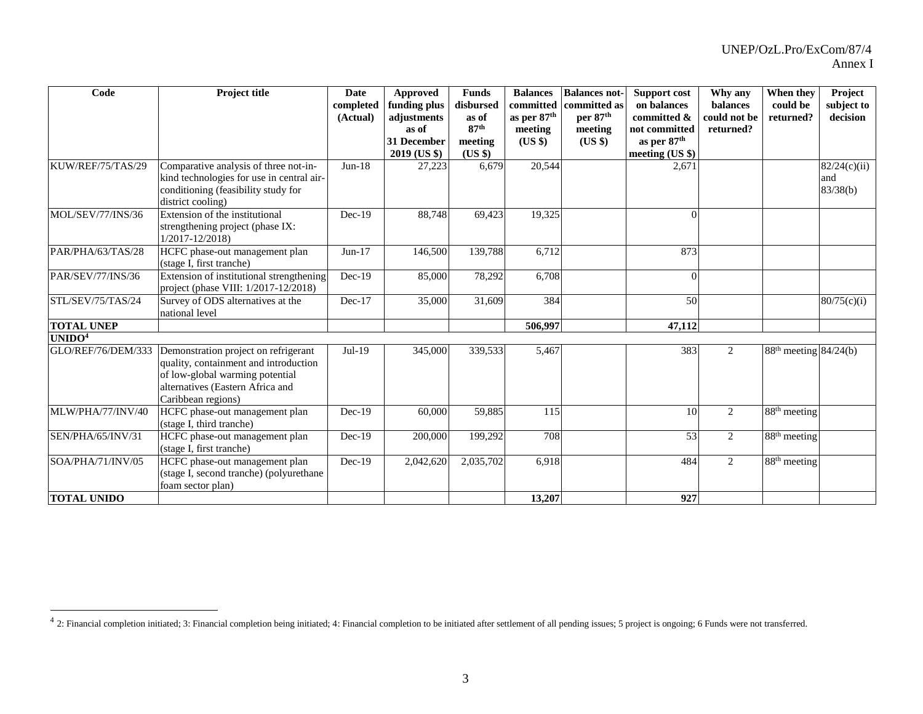| Code               | <b>Project title</b>                                                                                                                                                       | <b>Date</b><br>completed<br>(Actual) | Approved<br>funding plus<br>adjustments<br>as of<br>31 December<br>2019 (US \$) | <b>Funds</b><br>disbursed<br>as of<br>87 <sup>th</sup><br>meeting<br>(US \$) | <b>Balances</b><br>committed<br>as per 87 <sup>th</sup><br>meeting<br>$(US \$ | <b>Balances not-</b><br>committed as<br>per 87th<br>meeting<br>(US \$) | Support cost<br>on balances<br>committed &<br>not committed<br>as per 87 <sup>th</sup><br>meeting (US \$) | Why any<br>balances<br>could not be<br>returned? | When they<br>could be<br>returned? | Project<br>subject to<br>decision |
|--------------------|----------------------------------------------------------------------------------------------------------------------------------------------------------------------------|--------------------------------------|---------------------------------------------------------------------------------|------------------------------------------------------------------------------|-------------------------------------------------------------------------------|------------------------------------------------------------------------|-----------------------------------------------------------------------------------------------------------|--------------------------------------------------|------------------------------------|-----------------------------------|
| KUW/REF/75/TAS/29  | Comparative analysis of three not-in-<br>kind technologies for use in central air-<br>conditioning (feasibility study for<br>district cooling)                             | $Jun-18$                             | 27,223                                                                          | 6,679                                                                        | 20,544                                                                        |                                                                        | 2,671                                                                                                     |                                                  |                                    | 82/24(c)(ii)<br>and<br>83/38(b)   |
| MOL/SEV/77/INS/36  | Extension of the institutional<br>strengthening project (phase IX:<br>$1/2017 - 12/2018$                                                                                   | $Dec-19$                             | 88,748                                                                          | 69,423                                                                       | 19,325                                                                        |                                                                        |                                                                                                           |                                                  |                                    |                                   |
| PAR/PHA/63/TAS/28  | HCFC phase-out management plan<br>(stage I, first tranche)                                                                                                                 | $Jun-17$                             | 146,500                                                                         | 139,788                                                                      | 6,712                                                                         |                                                                        | 873                                                                                                       |                                                  |                                    |                                   |
| PAR/SEV/77/INS/36  | Extension of institutional strengthening<br>project (phase VIII: 1/2017-12/2018)                                                                                           | $Dec-19$                             | 85,000                                                                          | 78,292                                                                       | 6,708                                                                         |                                                                        |                                                                                                           |                                                  |                                    |                                   |
| STL/SEV/75/TAS/24  | Survey of ODS alternatives at the<br>national level                                                                                                                        | $Dec-17$                             | 35,000                                                                          | 31,609                                                                       | 384                                                                           |                                                                        | 50                                                                                                        |                                                  |                                    | 80/75(c)(i)                       |
| <b>TOTAL UNEP</b>  |                                                                                                                                                                            |                                      |                                                                                 |                                                                              | 506,997                                                                       |                                                                        | 47,112                                                                                                    |                                                  |                                    |                                   |
| UNIDO <sup>4</sup> |                                                                                                                                                                            |                                      |                                                                                 |                                                                              |                                                                               |                                                                        |                                                                                                           |                                                  |                                    |                                   |
| GLO/REF/76/DEM/333 | Demonstration project on refrigerant<br>quality, containment and introduction<br>of low-global warming potential<br>alternatives (Eastern Africa and<br>Caribbean regions) | $Jul-19$                             | 345,000                                                                         | 339,533                                                                      | 5,467                                                                         |                                                                        | 383                                                                                                       | 2                                                | $88th$ meeting $84/24(b)$          |                                   |
| MLW/PHA/77/INV/40  | HCFC phase-out management plan<br>(stage I, third tranche)                                                                                                                 | $Dec-19$                             | 60,000                                                                          | 59,885                                                                       | 115                                                                           |                                                                        | 10                                                                                                        | 2                                                | $88th$ meeting                     |                                   |
| SEN/PHA/65/INV/31  | HCFC phase-out management plan<br>(stage I, first tranche)                                                                                                                 | $Dec-19$                             | 200,000                                                                         | 199,292                                                                      | 708                                                                           |                                                                        | 53                                                                                                        | $\mathfrak{2}$                                   | 88 <sup>th</sup> meeting           |                                   |
| SOA/PHA/71/INV/05  | HCFC phase-out management plan<br>(stage I, second tranche) (polyurethane<br>foam sector plan)                                                                             | $Dec-19$                             | 2,042,620                                                                       | 2,035,702                                                                    | 6,918                                                                         |                                                                        | 484                                                                                                       | 2                                                | $88th$ meeting                     |                                   |
| <b>TOTAL UNIDO</b> |                                                                                                                                                                            |                                      |                                                                                 |                                                                              | 13,207                                                                        |                                                                        | 927                                                                                                       |                                                  |                                    |                                   |

<sup>&</sup>lt;sup>4</sup> 2: Financial completion initiated; 3: Financial completion being initiated; 4: Financial completion to be initiated after settlement of all pending issues; 5 project is ongoing; 6 Funds were not transferred.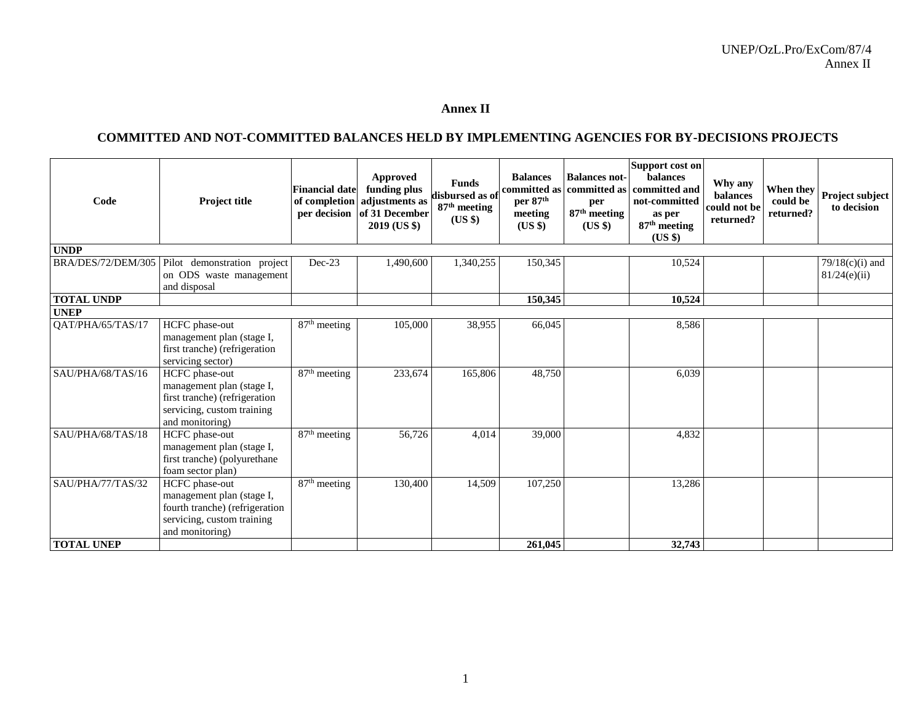## **Annex II**

## **COMMITTED AND NOT-COMMITTED BALANCES HELD BY IMPLEMENTING AGENCIES FOR BY-DECISIONS PROJECTS**

| Code               | Project title                                                                                                                  | <b>Financial date</b><br>of completion | Approved<br>funding plus<br>adjustments as<br>per decision of 31 December<br>2019 (US \$) | <b>Funds</b><br>disbursed as of<br>87 <sup>th</sup> meeting<br>(US \$) | <b>Balances</b><br>committed as<br>per 87 <sup>th</sup><br>meeting<br>(US \$) | <b>Balances not-</b><br>committed as<br>per<br>87 <sup>th</sup> meeting<br>(US \$) | Support cost on<br><b>balances</b><br>committed and<br>not-committed<br>as per<br>87 <sup>th</sup> meeting<br>(USS) | Why any<br>balances<br>could not be<br>returned? | When they<br>could be<br>returned? | Project subject<br>to decision |
|--------------------|--------------------------------------------------------------------------------------------------------------------------------|----------------------------------------|-------------------------------------------------------------------------------------------|------------------------------------------------------------------------|-------------------------------------------------------------------------------|------------------------------------------------------------------------------------|---------------------------------------------------------------------------------------------------------------------|--------------------------------------------------|------------------------------------|--------------------------------|
| <b>UNDP</b>        |                                                                                                                                |                                        |                                                                                           |                                                                        |                                                                               |                                                                                    |                                                                                                                     |                                                  |                                    |                                |
| BRA/DES/72/DEM/305 | Pilot demonstration project                                                                                                    | $Dec-23$                               | 1,490,600                                                                                 | 1,340,255                                                              | 150,345                                                                       |                                                                                    | 10,524                                                                                                              |                                                  |                                    | $79/18(c)(i)$ and              |
|                    | on ODS waste management                                                                                                        |                                        |                                                                                           |                                                                        |                                                                               |                                                                                    |                                                                                                                     |                                                  |                                    | 81/24(e)(ii)                   |
|                    | and disposal                                                                                                                   |                                        |                                                                                           |                                                                        |                                                                               |                                                                                    |                                                                                                                     |                                                  |                                    |                                |
| <b>TOTAL UNDP</b>  |                                                                                                                                |                                        |                                                                                           |                                                                        | 150,345                                                                       |                                                                                    | 10,524                                                                                                              |                                                  |                                    |                                |
| <b>UNEP</b>        |                                                                                                                                |                                        |                                                                                           |                                                                        |                                                                               |                                                                                    |                                                                                                                     |                                                  |                                    |                                |
| QAT/PHA/65/TAS/17  | HCFC phase-out<br>management plan (stage I,<br>first tranche) (refrigeration<br>servicing sector)                              | 87 <sup>th</sup> meeting               | 105,000                                                                                   | 38,955                                                                 | 66,045                                                                        |                                                                                    | 8,586                                                                                                               |                                                  |                                    |                                |
| SAU/PHA/68/TAS/16  | HCFC phase-out<br>management plan (stage I,<br>first tranche) (refrigeration<br>servicing, custom training<br>and monitoring)  | 87 <sup>th</sup> meeting               | 233,674                                                                                   | 165,806                                                                | 48,750                                                                        |                                                                                    | 6,039                                                                                                               |                                                  |                                    |                                |
| SAU/PHA/68/TAS/18  | HCFC phase-out<br>management plan (stage I,<br>first tranche) (polyurethane<br>foam sector plan)                               | $87th$ meeting                         | 56,726                                                                                    | 4,014                                                                  | 39,000                                                                        |                                                                                    | 4,832                                                                                                               |                                                  |                                    |                                |
| SAU/PHA/77/TAS/32  | HCFC phase-out<br>management plan (stage I,<br>fourth tranche) (refrigeration<br>servicing, custom training<br>and monitoring) | $87th$ meeting                         | 130,400                                                                                   | 14,509                                                                 | 107,250                                                                       |                                                                                    | 13,286                                                                                                              |                                                  |                                    |                                |
| <b>TOTAL UNEP</b>  |                                                                                                                                |                                        |                                                                                           |                                                                        | 261,045                                                                       |                                                                                    | 32,743                                                                                                              |                                                  |                                    |                                |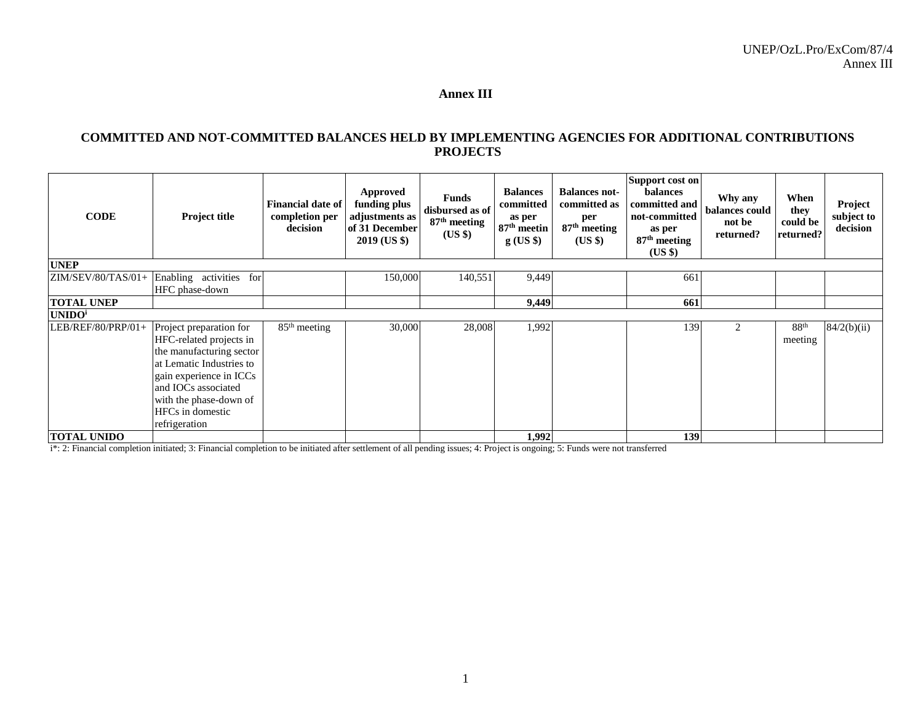#### **Annex III**

#### **COMMITTED AND NOT-COMMITTED BALANCES HELD BY IMPLEMENTING AGENCIES FOR ADDITIONAL CONTRIBUTIONS PROJECTS**

| <b>CODE</b>               | Project title                                                                                                                                                                                                                      | <b>Financial date of</b><br>completion per<br>decision | <b>Approved</b><br>funding plus<br>adjustments as<br>of 31 December<br>2019 (US \$) | <b>Funds</b><br>disbursed as of<br>87 <sup>th</sup> meeting<br>(US \$) | <b>Balances</b><br>committed<br>as per<br>87 <sup>th</sup> meetin<br>$g$ (US \$) | <b>Balances not-</b><br>committed as<br>per<br>$87th$ meeting<br>$(US \$ | Support cost on<br><b>balances</b><br>committed and<br>not-committed<br>as per<br>87 <sup>th</sup> meeting<br>(US \$) | Why any<br>balances could<br>not be<br>returned? | When<br>they<br>could be<br>returned? | Project<br>subject to<br>decision |
|---------------------------|------------------------------------------------------------------------------------------------------------------------------------------------------------------------------------------------------------------------------------|--------------------------------------------------------|-------------------------------------------------------------------------------------|------------------------------------------------------------------------|----------------------------------------------------------------------------------|--------------------------------------------------------------------------|-----------------------------------------------------------------------------------------------------------------------|--------------------------------------------------|---------------------------------------|-----------------------------------|
| <b>UNEP</b>               |                                                                                                                                                                                                                                    |                                                        |                                                                                     |                                                                        |                                                                                  |                                                                          |                                                                                                                       |                                                  |                                       |                                   |
|                           | $ZIM/SEV/80/TAS/01+$ Enabling activities for<br>HFC phase-down                                                                                                                                                                     |                                                        | 150,000                                                                             | 140,551                                                                | 9,449                                                                            |                                                                          | 661                                                                                                                   |                                                  |                                       |                                   |
| <b>TOTAL UNEP</b>         |                                                                                                                                                                                                                                    |                                                        |                                                                                     |                                                                        | 9,449                                                                            |                                                                          | 661                                                                                                                   |                                                  |                                       |                                   |
| <b>UNIDO</b> <sup>i</sup> |                                                                                                                                                                                                                                    |                                                        |                                                                                     |                                                                        |                                                                                  |                                                                          |                                                                                                                       |                                                  |                                       |                                   |
| LEB/REF/80/PRP/01+        | Project preparation for<br>HFC-related projects in<br>the manufacturing sector<br>at Lematic Industries to<br>gain experience in ICCs<br>and IOCs associated<br>with the phase-down of<br><b>HFCs</b> in domestic<br>refrigeration | $85th$ meeting                                         | 30,000                                                                              | 28,008                                                                 | 1,992                                                                            |                                                                          | 139                                                                                                                   | 2                                                | 88 <sup>th</sup><br>meeting           | 84/2(b)(ii)                       |
| <b>TOTAL UNIDO</b>        |                                                                                                                                                                                                                                    |                                                        |                                                                                     |                                                                        | 1,992                                                                            |                                                                          | 139                                                                                                                   |                                                  |                                       |                                   |

i\*: 2: Financial completion initiated; 3: Financial completion to be initiated after settlement of all pending issues; 4: Project is ongoing; 5: Funds were not transferred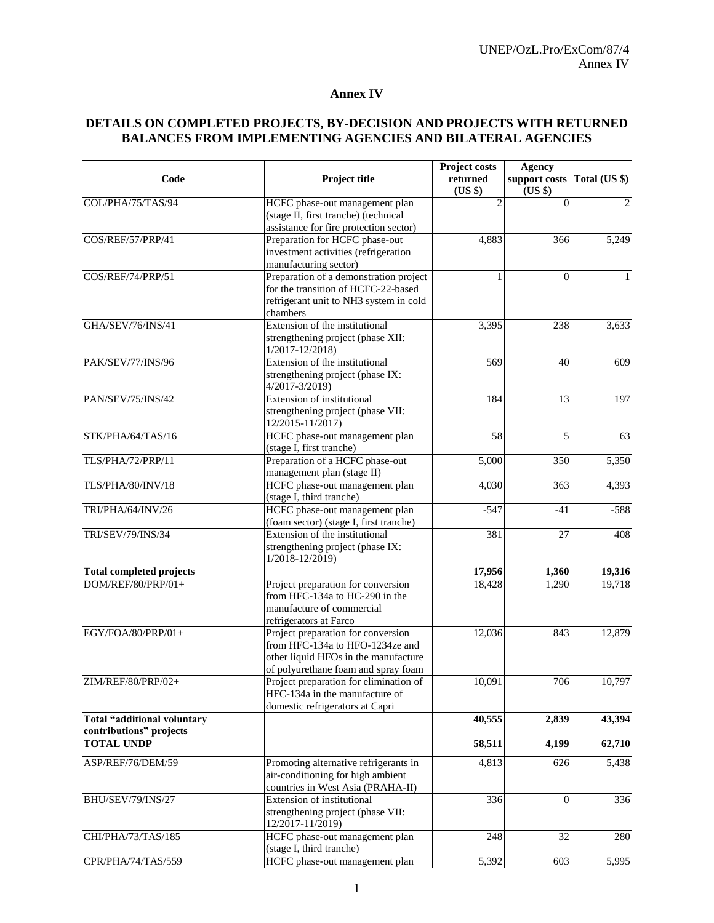#### **Annex IV**

### **DETAILS ON COMPLETED PROJECTS, BY-DECISION AND PROJECTS WITH RETURNED BALANCES FROM IMPLEMENTING AGENCIES AND BILATERAL AGENCIES**

| Code                                                                                                                                                                                                       | Project title                                                         | Project costs<br>returned<br>(US \$) | <b>Agency</b><br>support costs<br>(US \$) | Total (US \$)  |
|------------------------------------------------------------------------------------------------------------------------------------------------------------------------------------------------------------|-----------------------------------------------------------------------|--------------------------------------|-------------------------------------------|----------------|
| COL/PHA/75/TAS/94                                                                                                                                                                                          | HCFC phase-out management plan                                        |                                      | $\theta$                                  | $\overline{2}$ |
|                                                                                                                                                                                                            | (stage II, first tranche) (technical                                  |                                      |                                           |                |
|                                                                                                                                                                                                            | assistance for fire protection sector)                                |                                      |                                           |                |
|                                                                                                                                                                                                            | Preparation for HCFC phase-out                                        | 4,883                                | 366                                       | 5,249          |
|                                                                                                                                                                                                            | investment activities (refrigeration                                  |                                      |                                           |                |
|                                                                                                                                                                                                            | manufacturing sector)                                                 |                                      |                                           |                |
|                                                                                                                                                                                                            | Preparation of a demonstration project                                |                                      | $\theta$                                  | $\mathbf{1}$   |
|                                                                                                                                                                                                            | for the transition of HCFC-22-based                                   |                                      |                                           |                |
|                                                                                                                                                                                                            | refrigerant unit to NH3 system in cold<br>chambers                    |                                      |                                           |                |
|                                                                                                                                                                                                            | Extension of the institutional                                        | 3,395                                | 238                                       | 3,633          |
|                                                                                                                                                                                                            | strengthening project (phase XII:                                     |                                      |                                           |                |
|                                                                                                                                                                                                            | $1/2017 - 12/2018$                                                    |                                      |                                           |                |
|                                                                                                                                                                                                            | Extension of the institutional                                        | 569                                  | 40                                        | 609            |
| COS/REF/57/PRP/41<br>COS/REF/74/PRP/51<br>GHA/SEV/76/INS/41<br>PAK/SEV/77/INS/96<br>TRI/SEV/79/INS/34<br><b>Total completed projects</b><br>DOM/REF/80/PRP/01+<br>EGY/FOA/80/PRP/01+<br>ZIM/REF/80/PRP/02+ | strengthening project (phase IX:                                      |                                      |                                           |                |
|                                                                                                                                                                                                            | 4/2017-3/2019)                                                        |                                      |                                           |                |
|                                                                                                                                                                                                            | Extension of institutional                                            | 184                                  | 13                                        | 197            |
|                                                                                                                                                                                                            | strengthening project (phase VII:                                     |                                      |                                           |                |
| PAN/SEV/75/INS/42                                                                                                                                                                                          | 12/2015-11/2017)                                                      |                                      |                                           |                |
| STK/PHA/64/TAS/16                                                                                                                                                                                          | HCFC phase-out management plan                                        | 58                                   | 5                                         | 63             |
|                                                                                                                                                                                                            | (stage I, first tranche)                                              |                                      |                                           |                |
| TLS/PHA/72/PRP/11                                                                                                                                                                                          | Preparation of a HCFC phase-out                                       | 5,000                                | 350                                       | 5,350          |
|                                                                                                                                                                                                            | management plan (stage II)                                            |                                      |                                           |                |
| TLS/PHA/80/INV/18                                                                                                                                                                                          | HCFC phase-out management plan                                        | 4,030                                | 363                                       | 4,393          |
|                                                                                                                                                                                                            | (stage I, third tranche)                                              |                                      |                                           |                |
| TRI/PHA/64/INV/26                                                                                                                                                                                          | HCFC phase-out management plan                                        | $-547$                               | $-41$                                     | $-588$         |
|                                                                                                                                                                                                            | (foam sector) (stage I, first tranche)                                |                                      |                                           |                |
|                                                                                                                                                                                                            | Extension of the institutional                                        | 381                                  | 27                                        | 408            |
|                                                                                                                                                                                                            | strengthening project (phase IX:                                      |                                      |                                           |                |
|                                                                                                                                                                                                            | $1/2018 - 12/2019$                                                    |                                      |                                           |                |
|                                                                                                                                                                                                            |                                                                       | 17,956                               | 1,360                                     | 19,316         |
|                                                                                                                                                                                                            | Project preparation for conversion                                    | 18,428                               | 1,290                                     | 19,718         |
|                                                                                                                                                                                                            | from HFC-134a to HC-290 in the                                        |                                      |                                           |                |
|                                                                                                                                                                                                            | manufacture of commercial                                             |                                      |                                           |                |
|                                                                                                                                                                                                            | refrigerators at Farco                                                |                                      |                                           |                |
|                                                                                                                                                                                                            | Project preparation for conversion<br>from HFC-134a to HFO-1234ze and | 12,036                               | 843                                       | 12,879         |
|                                                                                                                                                                                                            | other liquid HFOs in the manufacture                                  |                                      |                                           |                |
|                                                                                                                                                                                                            | of polyurethane foam and spray foam                                   |                                      |                                           |                |
|                                                                                                                                                                                                            | Project preparation for elimination of                                | 10.091                               | 706                                       | 10,797         |
|                                                                                                                                                                                                            | HFC-134a in the manufacture of                                        |                                      |                                           |                |
|                                                                                                                                                                                                            | domestic refrigerators at Capri                                       |                                      |                                           |                |
| Total "additional voluntary                                                                                                                                                                                |                                                                       | 40,555                               | 2,839                                     | 43,394         |
| contributions" projects                                                                                                                                                                                    |                                                                       |                                      |                                           |                |
| <b>TOTAL UNDP</b>                                                                                                                                                                                          |                                                                       | 58,511                               | 4,199                                     | 62,710         |
|                                                                                                                                                                                                            |                                                                       |                                      |                                           |                |
| ASP/REF/76/DEM/59                                                                                                                                                                                          | Promoting alternative refrigerants in                                 | 4,813                                | 626                                       | 5,438          |
|                                                                                                                                                                                                            | air-conditioning for high ambient                                     |                                      |                                           |                |
|                                                                                                                                                                                                            | countries in West Asia (PRAHA-II)                                     |                                      |                                           |                |
| BHU/SEV/79/INS/27                                                                                                                                                                                          | <b>Extension of institutional</b>                                     | 336                                  | $\mathbf{0}$                              | 336            |
|                                                                                                                                                                                                            | strengthening project (phase VII:<br>12/2017-11/2019)                 |                                      |                                           |                |
| CHI/PHA/73/TAS/185                                                                                                                                                                                         | HCFC phase-out management plan                                        | 248                                  | 32                                        | 280            |
|                                                                                                                                                                                                            | (stage I, third tranche)                                              |                                      |                                           |                |
| CPR/PHA/74/TAS/559                                                                                                                                                                                         | HCFC phase-out management plan                                        | 5,392                                | 603                                       | 5,995          |
|                                                                                                                                                                                                            |                                                                       |                                      |                                           |                |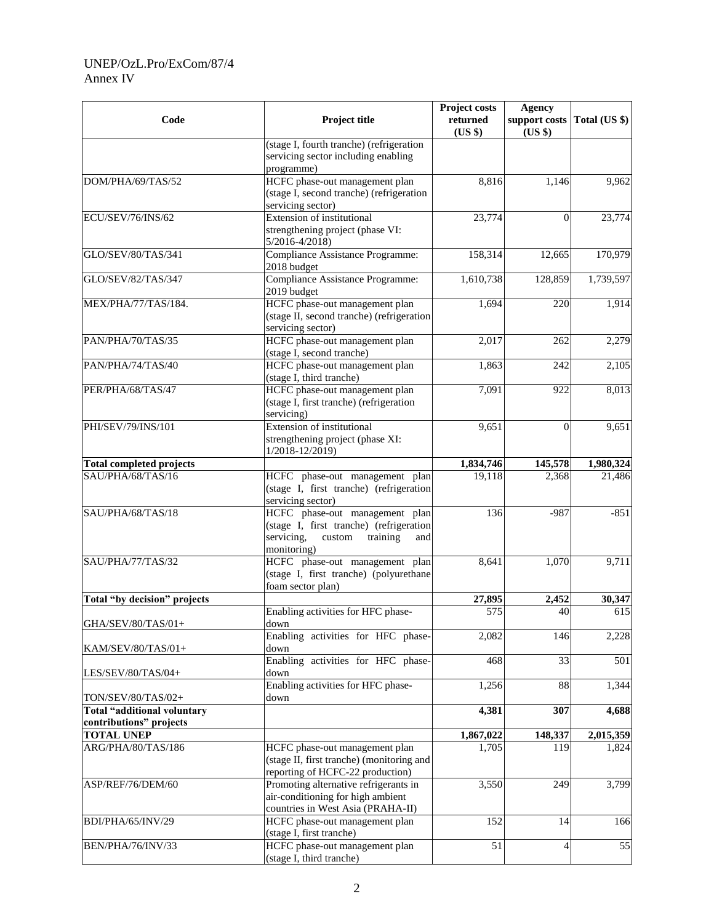#### UNEP/OzL.Pro/ExCom/87/4 Annex IV

| Code                                                   | Project title                                                                                                                       | Project costs<br>returned<br>(US \$) | <b>Agency</b><br>support costs<br>(US \$) | Total (US \$) |
|--------------------------------------------------------|-------------------------------------------------------------------------------------------------------------------------------------|--------------------------------------|-------------------------------------------|---------------|
|                                                        | (stage I, fourth tranche) (refrigeration<br>servicing sector including enabling<br>programme)                                       |                                      |                                           |               |
| DOM/PHA/69/TAS/52                                      | HCFC phase-out management plan<br>(stage I, second tranche) (refrigeration<br>servicing sector)                                     | 8,816                                | 1,146                                     | 9,962         |
| ECU/SEV/76/INS/62                                      | Extension of institutional<br>strengthening project (phase VI:<br>$5/2016 - 4/2018$                                                 | 23,774                               | $\Omega$                                  | 23,774        |
| GLO/SEV/80/TAS/341                                     | <b>Compliance Assistance Programme:</b><br>2018 budget                                                                              | 158,314                              | 12,665                                    | 170,979       |
| GLO/SEV/82/TAS/347                                     | Compliance Assistance Programme:<br>2019 budget                                                                                     | 1,610,738                            | 128,859                                   | 1,739,597     |
| MEX/PHA/77/TAS/184.                                    | HCFC phase-out management plan<br>(stage II, second tranche) (refrigeration<br>servicing sector)                                    | 1,694                                | 220                                       | 1,914         |
| PAN/PHA/70/TAS/35                                      | HCFC phase-out management plan<br>(stage I, second tranche)                                                                         | 2,017                                | 262                                       | 2,279         |
| PAN/PHA/74/TAS/40                                      | HCFC phase-out management plan<br>(stage I, third tranche)                                                                          | 1,863                                | 242                                       | 2,105         |
| PER/PHA/68/TAS/47                                      | HCFC phase-out management plan<br>(stage I, first tranche) (refrigeration<br>servicing)                                             | 7,091                                | 922                                       | 8,013         |
| PHI/SEV/79/INS/101                                     | <b>Extension of institutional</b><br>strengthening project (phase XI:<br>1/2018-12/2019)                                            | 9,651                                | $\Omega$                                  | 9,651         |
| <b>Total completed projects</b>                        |                                                                                                                                     | 1,834,746                            | 145,578                                   | 1,980,324     |
| SAU/PHA/68/TAS/16                                      | HCFC phase-out management plan<br>(stage I, first tranche) (refrigeration<br>servicing sector)                                      | 19,118                               | 2,368                                     | 21,486        |
| SAU/PHA/68/TAS/18                                      | HCFC phase-out management plan<br>(stage I, first tranche) (refrigeration<br>servicing,<br>training<br>custom<br>and<br>monitoring) | 136                                  | $-987$                                    | $-851$        |
| SAU/PHA/77/TAS/32                                      | HCFC phase-out management plan<br>(stage I, first tranche) (polyurethane<br>foam sector plan)                                       | 8,641                                | 1,070                                     | 9,711         |
| Total "by decision" projects                           |                                                                                                                                     | 27,895                               | 2,452                                     | 30,347        |
| GHA/SEV/80/TAS/01+                                     | Enabling activities for HFC phase-<br>down                                                                                          | 575                                  | 40                                        | 615           |
| KAM/SEV/80/TAS/01+                                     | Enabling activities for HFC phase-<br>down                                                                                          | 2,082                                | 146                                       | 2,228         |
| LES/SEV/80/TAS/04+                                     | Enabling activities for HFC phase-<br>down                                                                                          | 468                                  | 33                                        | 501           |
| TON/SEV/80/TAS/02+                                     | Enabling activities for HFC phase-<br>down                                                                                          | 1,256                                | 88                                        | 1,344         |
| Total "additional voluntary<br>contributions" projects |                                                                                                                                     | 4,381                                | 307                                       | 4,688         |
| <b>TOTAL UNEP</b>                                      |                                                                                                                                     | 1,867,022                            | 148,337                                   | 2,015,359     |
| ARG/PHA/80/TAS/186                                     | HCFC phase-out management plan<br>(stage II, first tranche) (monitoring and<br>reporting of HCFC-22 production)                     | 1,705                                | 119                                       | 1,824         |
| ASP/REF/76/DEM/60                                      | Promoting alternative refrigerants in<br>air-conditioning for high ambient<br>countries in West Asia (PRAHA-II)                     | 3,550                                | 249                                       | 3,799         |
| BDI/PHA/65/INV/29                                      | HCFC phase-out management plan<br>(stage I, first tranche)                                                                          | 152                                  | 14                                        | 166           |
| BEN/PHA/76/INV/33                                      | HCFC phase-out management plan<br>(stage I, third tranche)                                                                          | 51                                   | 4                                         | 55            |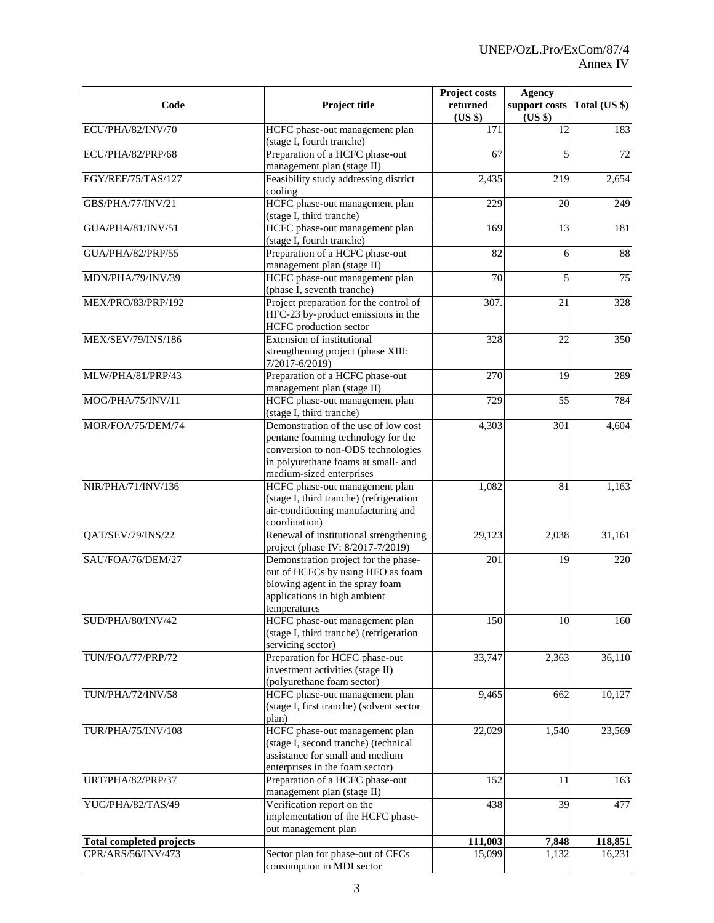| Code                            | Project title                                                                                                                                                                       | Project costs<br><b>Agency</b><br>returned<br>support costs<br>(US \$)<br>(US \$) |                 | Total (US \$) |
|---------------------------------|-------------------------------------------------------------------------------------------------------------------------------------------------------------------------------------|-----------------------------------------------------------------------------------|-----------------|---------------|
| ECU/PHA/82/INV/70               | HCFC phase-out management plan<br>(stage I, fourth tranche)                                                                                                                         | 171                                                                               | 12              | 183           |
| ECU/PHA/82/PRP/68               | Preparation of a HCFC phase-out<br>management plan (stage II)                                                                                                                       | 67                                                                                | 5               | 72            |
| EGY/REF/75/TAS/127              | Feasibility study addressing district<br>cooling                                                                                                                                    | 2,435                                                                             | 219             | 2,654         |
| GBS/PHA/77/INV/21               | HCFC phase-out management plan<br>(stage I, third tranche)                                                                                                                          | 229                                                                               | 20              | 249           |
| GUA/PHA/81/INV/51               | HCFC phase-out management plan<br>(stage I, fourth tranche)                                                                                                                         | 169                                                                               | 13              | 181           |
| GUA/PHA/82/PRP/55               | Preparation of a HCFC phase-out<br>management plan (stage II)                                                                                                                       | $\overline{82}$                                                                   | 6               | 88            |
| MDN/PHA/79/INV/39               | HCFC phase-out management plan<br>(phase I, seventh tranche)                                                                                                                        | 70                                                                                | 5               | 75            |
| MEX/PRO/83/PRP/192              | Project preparation for the control of<br>HFC-23 by-product emissions in the<br>HCFC production sector                                                                              | 307.                                                                              | 21              | 328           |
| MEX/SEV/79/INS/186              | Extension of institutional<br>strengthening project (phase XIII:<br>7/2017-6/2019)                                                                                                  | 328                                                                               | 22              | 350           |
| MLW/PHA/81/PRP/43               | Preparation of a HCFC phase-out<br>management plan (stage II)                                                                                                                       | 270                                                                               | 19              | 289           |
| MOG/PHA/75/INV/11               | HCFC phase-out management plan<br>(stage I, third tranche)                                                                                                                          | 729                                                                               | 55              | 784           |
| MOR/FOA/75/DEM/74               | Demonstration of the use of low cost<br>pentane foaming technology for the<br>conversion to non-ODS technologies<br>in polyurethane foams at small- and<br>medium-sized enterprises | 4,303                                                                             | 301             | 4,604         |
| NIR/PHA/71/INV/136              | HCFC phase-out management plan<br>(stage I, third tranche) (refrigeration<br>air-conditioning manufacturing and<br>coordination)                                                    | 1,082                                                                             | 81              | 1,163         |
| QAT/SEV/79/INS/22               | Renewal of institutional strengthening<br>project (phase IV: 8/2017-7/2019)                                                                                                         | 29,123                                                                            | 2,038           | 31,161        |
| SAU/FOA/76/DEM/27               | Demonstration project for the phase-<br>out of HCFCs by using HFO as foam<br>blowing agent in the spray foam<br>applications in high ambient<br>temperatures                        | 201                                                                               | 19              | 220           |
| SUD/PHA/80/INV/42               | HCFC phase-out management plan<br>(stage I, third tranche) (refrigeration<br>servicing sector)                                                                                      | 150                                                                               | 10              | 160           |
| TUN/FOA/77/PRP/72               | Preparation for HCFC phase-out<br>investment activities (stage II)<br>(polyurethane foam sector)                                                                                    | 33,747                                                                            | 2,363           | 36,110        |
| TUN/PHA/72/INV/58               | HCFC phase-out management plan<br>(stage I, first tranche) (solvent sector<br>plan)                                                                                                 | 9,465                                                                             | 662             | 10,127        |
| TUR/PHA/75/INV/108              | HCFC phase-out management plan<br>(stage I, second tranche) (technical<br>assistance for small and medium<br>enterprises in the foam sector)                                        | 22,029                                                                            | 1,540           | 23,569        |
| URT/PHA/82/PRP/37               | Preparation of a HCFC phase-out<br>management plan (stage II)                                                                                                                       | 152                                                                               | 11              | 163           |
| YUG/PHA/82/TAS/49               | Verification report on the<br>implementation of the HCFC phase-<br>out management plan                                                                                              | 438                                                                               | $\overline{39}$ | 477           |
| <b>Total completed projects</b> |                                                                                                                                                                                     | 111,003                                                                           | 7,848           | 118,851       |
| CPR/ARS/56/INV/473              | Sector plan for phase-out of CFCs<br>consumption in MDI sector                                                                                                                      | 15,099                                                                            | 1,132           | 16,231        |